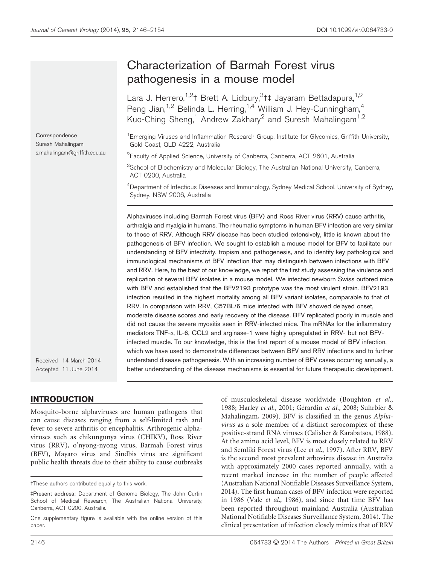# Characterization of Barmah Forest virus pathogenesis in a mouse model

Lara J. Herrero,<sup>1,2</sup>† Brett A. Lidbury,<sup>3</sup>†‡ Jayaram Bettadapura,<sup>1,2</sup> Peng Jian,<sup>1,2</sup> Belinda L. Herring,<sup>1,4</sup> William J. Hey-Cunningham,<sup>4</sup> Kuo-Ching Sheng,<sup>1</sup> Andrew Zakhary<sup>2</sup> and Suresh Mahalingam<sup>1,2</sup>

<sup>1</sup> Emerging Viruses and Inflammation Research Group, Institute for Glycomics, Griffith University, Gold Coast, QLD 4222, Australia

<sup>2</sup> Faculty of Applied Science, University of Canberra, Canberra, ACT 2601, Australia

<sup>3</sup>School of Biochemistry and Molecular Biology, The Australian National University, Canberra, ACT 0200, Australia

<sup>4</sup>Department of Infectious Diseases and Immunology, Sydney Medical School, University of Sydney, Sydney, NSW 2006, Australia

Alphaviruses including Barmah Forest virus (BFV) and Ross River virus (RRV) cause arthritis, arthralgia and myalgia in humans. The rheumatic symptoms in human BFV infection are very similar to those of RRV. Although RRV disease has been studied extensively, little is known about the pathogenesis of BFV infection. We sought to establish a mouse model for BFV to facilitate our understanding of BFV infectivity, tropism and pathogenesis, and to identify key pathological and immunological mechanisms of BFV infection that may distinguish between infections with BFV and RRV. Here, to the best of our knowledge, we report the first study assessing the virulence and replication of several BFV isolates in a mouse model. We infected newborn Swiss outbred mice with BFV and established that the BFV2193 prototype was the most virulent strain. BFV2193 infection resulted in the highest mortality among all BFV variant isolates, comparable to that of RRV. In comparison with RRV, C57BL/6 mice infected with BFV showed delayed onset, moderate disease scores and early recovery of the disease. BFV replicated poorly in muscle and did not cause the severe myositis seen in RRV-infected mice. The mRNAs for the inflammatory mediators TNF- $\alpha$ , IL-6, CCL2 and arginase-1 were highly upregulated in RRV- but not BFVinfected muscle. To our knowledge, this is the first report of a mouse model of BFV infection, which we have used to demonstrate differences between BFV and RRV infections and to further understand disease pathogenesis. With an increasing number of BFV cases occurring annually, a better understanding of the disease mechanisms is essential for future therapeutic development.

Received 14 March 2014 Accepted 11 June 2014

**Correspondence** Suresh Mahalingam s.mahalingam@griffith.edu.au

## INTRODUCTION

Mosquito-borne alphaviruses are human pathogens that can cause diseases ranging from a self-limited rash and fever to severe arthritis or encephalitis. Arthrogenic alphaviruses such as chikungunya virus (CHIKV), Ross River virus (RRV), o'nyong-nyong virus, Barmah Forest virus (BFV), Mayaro virus and Sindbis virus are significant public health threats due to their ability to cause outbreaks

of musculoskeletal disease worldwide (Boughton *et al.*, 1988; Harley et al., 2001; Gérardin et al., 2008; Suhrbier & Mahalingam, 2009). BFV is classified in the genus *Alphavirus* as a sole member of a distinct serocomplex of these positive-strand RNA viruses (Calisher & Karabatsos, 1988). At the amino acid level, BFV is most closely related to RRV and Semliki Forest virus (Lee *et al.*, 1997). After RRV, BFV is the second most prevalent arbovirus disease in Australia with approximately 2000 cases reported annually, with a recent marked increase in the number of people affected (Australian National Notifiable Diseases Surveillance System, 2014). The first human cases of BFV infection were reported in 1986 (Vale *et al.*, 1986), and since that time BFV has been reported throughout mainland Australia (Australian National Notifiable Diseases Surveillance System, 2014). The clinical presentation of infection closely mimics that of RRV

tThese authors contributed equally to this work.

<sup>4</sup>Present address: Department of Genome Biology, The John Curtin School of Medical Research, The Australian National University, Canberra, ACT 0200, Australia.

One supplementary figure is available with the online version of this paper.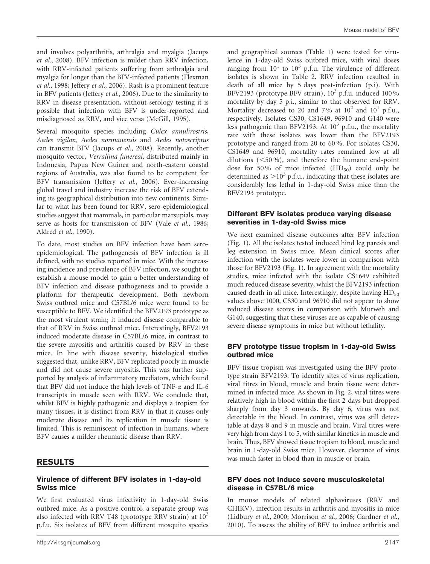and involves polyarthritis, arthralgia and myalgia (Jacups *et al.*, 2008). BFV infection is milder than RRV infection, with RRV-infected patients suffering from arthralgia and myalgia for longer than the BFV-infected patients (Flexman *et al.*, 1998; Jeffery *et al.*, 2006). Rash is a prominent feature in BFV patients (Jeffery *et al.*, 2006). Due to the similarity to RRV in disease presentation, without serology testing it is possible that infection with BFV is under-reported and misdiagnosed as RRV, and vice versa (McGill, 1995).

Several mosquito species including *Culex annulirostris*, *Aedes vigilax*, *Aedes normanensis* and *Aedes notoscriptus* can transmit BFV (Jacups *et al.*, 2008). Recently, another mosquito vector, *Verrallina funereal*, distributed mainly in Indonesia, Papua New Guinea and north-eastern coastal regions of Australia, was also found to be competent for BFV transmission (Jeffery *et al.*, 2006). Ever-increasing global travel and industry increase the risk of BFV extending its geographical distribution into new continents. Similar to what has been found for RRV, sero-epidemiological studies suggest that mammals, in particular marsupials, may serve as hosts for transmission of BFV (Vale *et al.*, 1986; Aldred *et al.*, 1990).

To date, most studies on BFV infection have been seroepidemiological. The pathogenesis of BFV infection is ill defined, with no studies reported in mice. With the increasing incidence and prevalence of BFV infection, we sought to establish a mouse model to gain a better understanding of BFV infection and disease pathogenesis and to provide a platform for therapeutic development. Both newborn Swiss outbred mice and C57BL/6 mice were found to be susceptible to BFV. We identified the BFV2193 prototype as the most virulent strain; it induced disease comparable to that of RRV in Swiss outbred mice. Interestingly, BFV2193 induced moderate disease in C57BL/6 mice, in contrast to the severe myositis and arthritis caused by RRV in these mice. In line with disease severity, histological studies suggested that, unlike RRV, BFV replicated poorly in muscle and did not cause severe myositis. This was further supported by analysis of inflammatory mediators, which found that BFV did not induce the high levels of TNF- $\alpha$  and IL-6 transcripts in muscle seen with RRV. We conclude that, whilst BFV is highly pathogenic and displays a tropism for many tissues, it is distinct from RRV in that it causes only moderate disease and its replication in muscle tissue is limited. This is reminiscent of infection in humans, where BFV causes a milder rheumatic disease than RRV.

## RESULTS

#### Virulence of different BFV isolates in 1-day-old Swiss mice

We first evaluated virus infectivity in 1-day-old Swiss outbred mice. As a positive control, a separate group was also infected with RRV T48 (prototype RRV strain) at  $10<sup>3</sup>$ p.f.u. Six isolates of BFV from different mosquito species and geographical sources (Table 1) were tested for virulence in 1-day-old Swiss outbred mice, with viral doses ranging from  $10^1$  to  $10^3$  p.f.u. The virulence of different isolates is shown in Table 2. RRV infection resulted in death of all mice by 5 days post-infection (p.i). With BFV2193 (prototype BFV strain), 10<sup>3</sup> p.f.u. induced 100% mortality by day 5 p.i., similar to that observed for RRV. Mortality decreased to 20 and 7% at  $10^2$  and  $10^1$  p.f.u., respectively. Isolates CS30, CS1649, 96910 and G140 were less pathogenic than BFV2193. At  $10^3$  p.f.u., the mortality rate with these isolates was lower than the BFV2193 prototype and ranged from 20 to 60 %. For isolates CS30, CS1649 and 96910, mortality rates remained low at all dilutions  $(<50\%$ ), and therefore the humane end-point dose for 50% of mice infected  $(HD_{50})$  could only be determined as  $>10^3$  p.f.u., indicating that these isolates are considerably less lethal in 1-day-old Swiss mice than the BFV2193 prototype.

#### Different BFV isolates produce varying disease severities in 1-day-old Swiss mice

We next examined disease outcomes after BFV infection (Fig. 1). All the isolates tested induced hind leg paresis and leg extension in Swiss mice. Mean clinical scores after infection with the isolates were lower in comparison with those for BFV2193 (Fig. 1). In agreement with the mortality studies, mice infected with the isolate CS1649 exhibited much reduced disease severity, whilst the BFV2193 infection caused death in all mice. Interestingly, despite having  $HD_{50}$ values above 1000, CS30 and 96910 did not appear to show reduced disease scores in comparison with Murweh and G140, suggesting that these viruses are as capable of causing severe disease symptoms in mice but without lethality.

#### BFV prototype tissue tropism in 1-day-old Swiss outbred mice

BFV tissue tropism was investigated using the BFV prototype strain BFV2193. To identify sites of virus replication, viral titres in blood, muscle and brain tissue were determined in infected mice. As shown in Fig. 2, viral titres were relatively high in blood within the first 2 days but dropped sharply from day 3 onwards. By day 6, virus was not detectable in the blood. In contrast, virus was still detectable at days 8 and 9 in muscle and brain. Viral titres were very high from days 1 to 5, with similar kinetics in muscle and brain. Thus, BFV showed tissue tropism to blood, muscle and brain in 1-day-old Swiss mice. However, clearance of virus was much faster in blood than in muscle or brain.

#### BFV does not induce severe musculoskeletal disease in C57BL/6 mice

In mouse models of related alphaviruses (RRV and CHIKV), infection results in arthritis and myositis in mice (Lidbury *et al.*, 2000; Morrison *et al.*, 2006; Gardner *et al.*, 2010). To assess the ability of BFV to induce arthritis and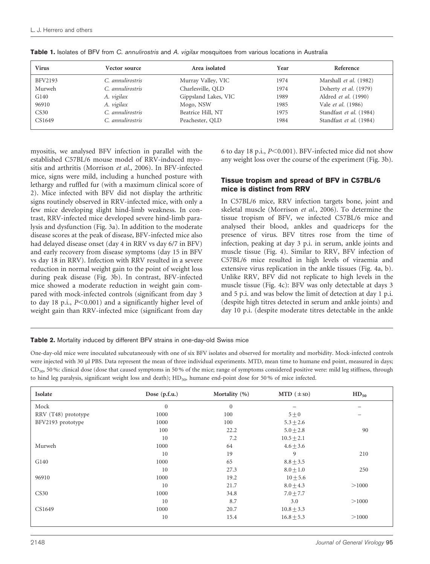| <b>Virus</b> | Vector source    | Area isolated        | Year | Reference               |
|--------------|------------------|----------------------|------|-------------------------|
| BFV2193      | C. annulirostris | Murray Valley, VIC   | 1974 | Marshall et al. (1982)  |
| Murweh       | C. annulirostris | Charlesville, OLD    | 1974 | Doherty et al. (1979)   |
| G140         | A. vigilax       | Gippsland Lakes, VIC | 1989 | Aldred et al. (1990)    |
| 96910        | A. vigilax       | Mogo, NSW            | 1985 | Vale et al. (1986)      |
| CS30         | C. annulirostris | Beatrice Hill, NT    | 1975 | Standfast et al. (1984) |
| CS1649       | C. annulirostris | Peachester, OLD      | 1984 | Standfast et al. (1984) |

Table 1. Isolates of BFV from C. annulirostris and A. vigilax mosquitoes from various locations in Australia

myositis, we analysed BFV infection in parallel with the established C57BL/6 mouse model of RRV-induced myositis and arthritis (Morrison *et al.*, 2006). In BFV-infected mice, signs were mild, including a hunched posture with lethargy and ruffled fur (with a maximum clinical score of 2). Mice infected with BFV did not display the arthritic signs routinely observed in RRV-infected mice, with only a few mice developing slight hind-limb weakness. In contrast, RRV-infected mice developed severe hind-limb paralysis and dysfunction (Fig. 3a). In addition to the moderate disease scores at the peak of disease, BFV-infected mice also had delayed disease onset (day 4 in RRV vs day 6/7 in BFV) and early recovery from disease symptoms (day 15 in BFV vs day 18 in RRV). Infection with RRV resulted in a severe reduction in normal weight gain to the point of weight loss during peak disease (Fig. 3b). In contrast, BFV-infected mice showed a moderate reduction in weight gain compared with mock-infected controls (significant from day 3 to day 18 p.i., *P*<0.001) and a significantly higher level of weight gain than RRV-infected mice (significant from day 6 to day 18 p.i., *P*<0.001). BFV-infected mice did not show any weight loss over the course of the experiment (Fig. 3b).

#### Tissue tropism and spread of BFV in C57BL/6 mice is distinct from RRV

In C57BL/6 mice, RRV infection targets bone, joint and skeletal muscle (Morrison *et al.*, 2006). To determine the tissue tropism of BFV, we infected C57BL/6 mice and analysed their blood, ankles and quadriceps for the presence of virus. BFV titres rose from the time of infection, peaking at day 3 p.i. in serum, ankle joints and muscle tissue (Fig. 4). Similar to RRV, BFV infection of C57BL/6 mice resulted in high levels of viraemia and extensive virus replication in the ankle tissues (Fig. 4a, b). Unlike RRV, BFV did not replicate to high levels in the muscle tissue (Fig. 4c): BFV was only detectable at days 3 and 5 p.i. and was below the limit of detection at day 1 p.i. (despite high titres detected in serum and ankle joints) and day 10 p.i. (despite moderate titres detectable in the ankle

Table 2. Mortality induced by different BFV strains in one-day-old Swiss mice

One-day-old mice were inoculated subcutaneously with one of six BFV isolates and observed for mortality and morbidity. Mock-infected controls were injected with 30 µl PBS. Data represent the mean of three individual experiments. MTD, mean time to humane end point, measured in days;  $CD<sub>50</sub>$ , 50 %: clinical dose (dose that caused symptoms in 50% of the mice; range of symptoms considered positive were: mild leg stiffness, through to hind leg paralysis, significant weight loss and death); HD<sub>50</sub>, humane end-point dose for 50 % of mice infected.

| Isolate             | Dose $(p.f.u.)$ | Mortality (%) | $MTD$ ( $\pm$ sD) | $HD_{50}$ |
|---------------------|-----------------|---------------|-------------------|-----------|
| Mock                | $\mathbf{0}$    | $\mathbf{0}$  |                   |           |
| RRV (T48) prototype | 1000            | 100           | $5\pm0$           |           |
| BFV2193 prototype   | 1000            | 100           | $5.3 \pm 2.6$     |           |
|                     | 100             | 22.2          | $5.0 \pm 2.8$     | 90        |
|                     | 10              | 7.2           | $10.5 \pm 2.1$    |           |
| Murweh              | 1000            | 64            | $4.6 \pm 3.6$     |           |
|                     | 10              | 19            | 9                 | 210       |
| G140                | 1000            | 65            | $8.8 \pm 3.5$     |           |
|                     | 10              | 27.3          | $8.0 \pm 1.0$     | 250       |
| 96910               | 1000            | 19.2          | $10 + 5.6$        |           |
|                     | 10              | 21.7          | $8.0 \pm 4.3$     | >1000     |
| CS30                | 1000            | 34.8          | $7.0 \pm 7.7$     |           |
|                     | 10              | 8.7           | 3.0               | >1000     |
| CS1649              | 1000            | 20.7          | $10.8 \pm 3.3$    |           |
|                     | 10              | 15.4          | $16.8 \pm 5.3$    | >1000     |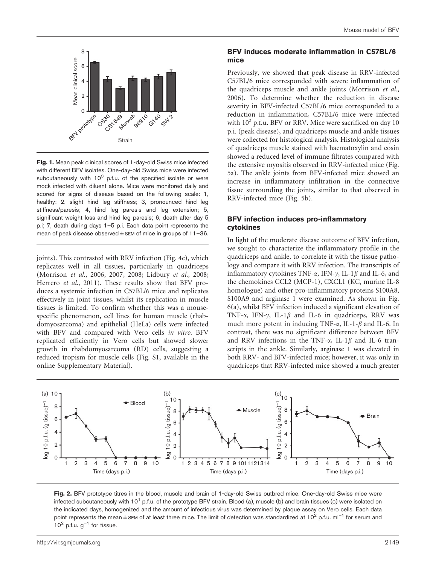

Fig. 1. Mean peak clinical scores of 1-day-old Swiss mice infected with different BFV isolates. One-day-old Swiss mice were infected subcutaneously with 10<sup>3</sup> p.f.u. of the specified isolate or were mock infected with diluent alone. Mice were monitored daily and scored for signs of disease based on the following scale: 1, healthy; 2, slight hind leg stiffness; 3, pronounced hind leg stiffness/paresis; 4, hind leg paresis and leg extension; 5, significant weight loss and hind leg paresis; 6, death after day 5 p.i; 7, death during days 1–5 p.i. Each data point represents the mean of peak disease observed  $\pm$  SEM of mice in groups of 11–36.

joints). This contrasted with RRV infection (Fig. 4c), which replicates well in all tissues, particularly in quadriceps (Morrison *et al.*, 2006, 2007, 2008; Lidbury *et al.*, 2008; Herrero *et al.*, 2011). These results show that BFV produces a systemic infection in C57BL/6 mice and replicates effectively in joint tissues, whilst its replication in muscle tissues is limited. To confirm whether this was a mousespecific phenomenon, cell lines for human muscle (rhabdomyosarcoma) and epithelial (HeLa) cells were infected with BFV and compared with Vero cells *in vitro*. BFV replicated efficiently in Vero cells but showed slower growth in rhabdomyosarcoma (RD) cells, suggesting a reduced tropism for muscle cells (Fig. S1, available in the online Supplementary Material).

#### BFV induces moderate inflammation in C57BL/6 mice

Previously, we showed that peak disease in RRV-infected C57BL/6 mice corresponded with severe inflammation of the quadriceps muscle and ankle joints (Morrison *et al.*, 2006). To determine whether the reduction in disease severity in BFV-infected C57BL/6 mice corresponded to a reduction in inflammation, C57BL/6 mice were infected with  $10^3$  p.f.u. BFV or RRV. Mice were sacrificed on day 10 p.i. (peak disease), and quadriceps muscle and ankle tissues were collected for histological analysis. Histological analysis of quadriceps muscle stained with haematoxylin and eosin showed a reduced level of immune filtrates compared with the extensive myositis observed in RRV-infected mice (Fig. 5a). The ankle joints from BFV-infected mice showed an increase in inflammatory infiltration in the connective tissue surrounding the joints, similar to that observed in RRV-infected mice (Fig. 5b).

#### BFV infection induces pro-inflammatory cytokines

In light of the moderate disease outcome of BFV infection, we sought to characterize the inflammatory profile in the quadriceps and ankle, to correlate it with the tissue pathology and compare it with RRV infection. The transcripts of inflammatory cytokines TNF- $\alpha$ , IFN- $\gamma$ , IL-1 $\beta$  and IL-6, and the chemokines CCL2 (MCP-1), CXCL1 (KC, murine IL-8 homologue) and other pro-inflammatory proteins S100A8, S100A9 and arginase 1 were examined. As shown in Fig. 6(a), whilst BFV infection induced a significant elevation of TNF- $\alpha$ , IFN- $\gamma$ , IL-1 $\beta$  and IL-6 in quadriceps, RRV was much more potent in inducing TNF- $\alpha$ , IL-1- $\beta$  and IL-6. In contrast, there was no significant difference between BFV and RRV infections in the TNF- $\alpha$ , IL-1 $\beta$  and IL-6 transcripts in the ankle. Similarly, arginase 1 was elevated in both RRV- and BFV-infected mice; however, it was only in quadriceps that RRV-infected mice showed a much greater



Fig. 2. BFV prototype titres in the blood, muscle and brain of 1-day-old Swiss outbred mice. One-day-old Swiss mice were infected subcutaneously with 10<sup>1</sup> p.f.u. of the prototype BFV strain. Blood (a), muscle (b) and brain tissues (c) were isolated on the indicated days, homogenized and the amount of infectious virus was determined by plaque assay on Vero cells. Each data point represents the mean  $\pm$  SEM of at least three mice. The limit of detection was standardized at 10<sup>2</sup> p.f.u. ml<sup>-1</sup> for serum and  $10<sup>2</sup>$  p.f.u.  $g<sup>-1</sup>$  for tissue.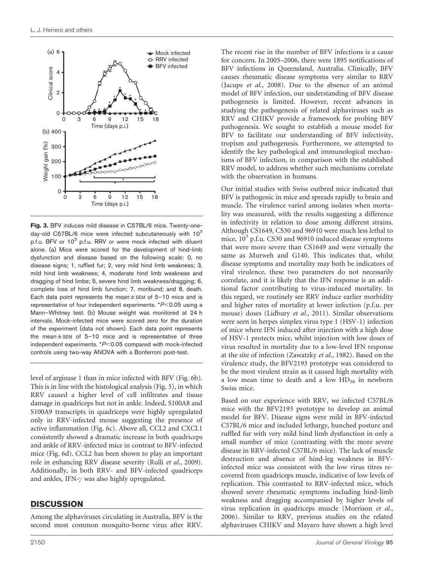

Fig. 3. BFV induces mild disease in C57BL/6 mice. Twenty-oneday-old C57BL/6 mice were infected subcutaneously with 10<sup>3</sup> p.f.u. BFV or 10<sup>3</sup> p.f.u. RRV or were mock infected with diluent alone. (a) Mice were scored for the development of hind-limb dysfunction and disease based on the following scale: 0, no disease signs; 1, ruffled fur; 2, very mild hind limb weakness; 3, mild hind limb weakness; 4, moderate hind limb weakness and dragging of hind limbs; 5, severe hind limb weakness/dragging; 6, complete loss of hind limb function; 7, moribund; and 8, death. Each data point represents the mean $\pm$ SEM of 5-10 mice and is representative of four independent experiments.  $*P<0.05$  using a Mann–Whitney test. (b) Mouse weight was monitored at 24 h intervals. Mock-infected mice were scored zero for the duration of the experiment (data not shown). Each data point represents the mean $\pm$ SEM of 5-10 mice and is representative of three independent experiments.  $*P<0.05$  compared with mock-infected controls using two-way ANOVA with a Bonferroni post-test.

level of arginase 1 than in mice infected with BFV (Fig. 6b). This is in line with the histological analysis (Fig. 5), in which RRV caused a higher level of cell infiltrates and tissue damage in quadriceps but not in ankle. Indeed, S100A8 and S100A9 transcripts in quadriceps were highly upregulated only in RRV-infected mouse suggesting the presence of active inflammation (Fig. 6c). Above all, CCL2 and CXCL1 consistently showed a dramatic increase in both quadriceps and ankle of RRV-infected mice in contrast to BFV-infected mice (Fig. 6d). CCL2 has been shown to play an important role in enhancing RRV disease severity (Rulli *et al.*, 2009). Additionally, in both RRV- and BFV-infected quadriceps and ankles, IFN- $\gamma$  was also highly upregulated.

# **DISCUSSION**

Among the alphaviruses circulating in Australia, BFV is the second most common mosquito-borne virus after RRV. The recent rise in the number of BFV infections is a cause for concern. In 2005–2006, there were 1895 notifications of BFV infections in Queensland, Australia. Clinically, BFV causes rheumatic disease symptoms very similar to RRV (Jacups *et al.*, 2008). Due to the absence of an animal model of BFV infection, our understanding of BFV disease pathogenesis is limited. However, recent advances in studying the pathogenesis of related alphaviruses such as RRV and CHIKV provide a framework for probing BFV pathogenesis. We sought to establish a mouse model for BFV to facilitate our understanding of BFV infectivity, tropism and pathogenesis. Furthermore, we attempted to identify the key pathological and immunological mechanisms of BFV infection, in comparison with the established RRV model, to address whether such mechanisms correlate with the observation in humans.

Our initial studies with Swiss outbred mice indicated that BFV is pathogenic in mice and spreads rapidly to brain and muscle. The virulence varied among isolates when mortality was measured, with the results suggesting a difference in infectivity in relation to dose among different strains. Although CS1649, CS30 and 96910 were much less lethal to mice,  $10^3$  p.f.u. CS30 and 96910 induced disease symptoms that were more severe than CS1649 and were virtually the same as Murweh and G140. This indicates that, whilst disease symptoms and mortality may both be indicators of viral virulence, these two parameters do not necessarily correlate, and it is likely that the IFN response is an additional factor contributing to virus-induced mortality. In this regard, we routinely see RRV induce earlier morbidity and higher rates of mortality at lower infection (p.f.u. per mouse) doses (Lidbury *et al.*, 2011). Similar observations were seen in herpes simplex virus type 1 (HSV-1) infection of mice where IFN induced after injection with a high dose of HSV-1 protects mice, whilst injection with low doses of virus resulted in mortality due to a low-level IFN response at the site of infection (Zawatzky *et al.*, 1982). Based on the virulence study, the BFV2193 prototype was considered to be the most virulent strain as it caused high mortality with a low mean time to death and a low  $HD_{50}$  in newborn Swiss mice.

Based on our experience with RRV, we infected C57BL/6 mice with the BFV2193 prototype to develop an animal model for BFV. Disease signs were mild in BFV-infected C57BL/6 mice and included lethargy, hunched posture and ruffled fur with very mild hind limb dysfunction in only a small number of mice (contrasting with the more severe disease in RRV-infected C57BL/6 mice). The lack of muscle destruction and absence of hind-leg weakness in BFVinfected mice was consistent with the low virus titres recovered from quadriceps muscle, indicative of low levels of replication. This contrasted to RRV-infected mice, which showed severe rheumatic symptoms including hind-limb weakness and dragging accompanied by higher levels of virus replication in quadriceps muscle (Morrison *et al.*, 2006). Similar to RRV, previous studies on the related alphaviruses CHIKV and Mayaro have shown a high level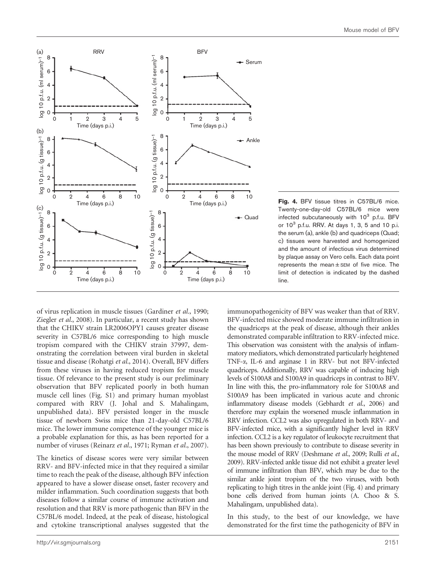

Fig. 4. BFV tissue titres in C57BL/6 mice. Twenty-one-day-old C57BL/6 mice were infected subcutaneously with 10<sup>3</sup> p.f.u. BFV or 10<sup>3</sup> p.f.u. RRV. At days 1, 3, 5 and 10 p.i. the serum (a), ankle (b) and quadriceps (Quad; c) tissues were harvested and homogenized and the amount of infectious virus determined by plaque assay on Vero cells. Each data point represents the mean $\pm$ SEM of five mice. The limit of detection is indicated by the dashed line.

of virus replication in muscle tissues (Gardiner *et al.*, 1990; Ziegler *et al.*, 2008). In particular, a recent study has shown that the CHIKV strain LR2006OPY1 causes greater disease severity in C57BL/6 mice corresponding to high muscle tropism compared with the CHIKV strain 37997, demonstrating the correlation between viral burden in skeletal tissue and disease (Rohatgi *et al.*, 2014). Overall, BFV differs from these viruses in having reduced tropism for muscle tissue. Of relevance to the present study is our preliminary observation that BFV replicated poorly in both human muscle cell lines (Fig. S1) and primary human myoblast compared with RRV (J. Johal and S. Mahalingam, unpublished data). BFV persisted longer in the muscle tissue of newborn Swiss mice than 21-day-old C57BL/6 mice. The lower immune competence of the younger mice is a probable explanation for this, as has been reported for a number of viruses (Reinarz *et al.*, 1971; Ryman *et al.*, 2007).

The kinetics of disease scores were very similar between RRV- and BFV-infected mice in that they required a similar time to reach the peak of the disease, although BFV infection appeared to have a slower disease onset, faster recovery and milder inflammation. Such coordination suggests that both diseases follow a similar course of immune activation and resolution and that RRV is more pathogenic than BFV in the C57BL/6 model. Indeed, at the peak of disease, histological and cytokine transcriptional analyses suggested that the

immunopathogenicity of BFV was weaker than that of RRV. BFV-infected mice showed moderate immune infiltration in the quadriceps at the peak of disease, although their ankles demonstrated comparable infiltration to RRV-infected mice. This observation was consistent with the analysis of inflammatory mediators, which demonstrated particularly heightened TNF-a, IL-6 and arginase 1 in RRV- but not BFV-infected quadriceps. Additionally, RRV was capable of inducing high levels of S100A8 and S100A9 in quadriceps in contrast to BFV. In line with this, the pro-inflammatory role for S100A8 and S100A9 has been implicated in various acute and chronic inflammatory disease models (Gebhardt *et al.*, 2006) and therefore may explain the worsened muscle inflammation in RRV infection. CCL2 was also upregulated in both RRV- and BFV-infected mice, with a significantly higher level in RRV infection. CCL2 is a key regulator of leukocyte recruitment that has been shown previously to contribute to disease severity in the mouse model of RRV (Deshmane *et al.*, 2009; Rulli *et al.*, 2009). RRV-infected ankle tissue did not exhibit a greater level of immune infiltration than BFV, which may be due to the similar ankle joint tropism of the two viruses, with both replicating to high titres in the ankle joint (Fig. 4) and primary bone cells derived from human joints (A. Choo & S. Mahalingam, unpublished data).

In this study, to the best of our knowledge, we have demonstrated for the first time the pathogenicity of BFV in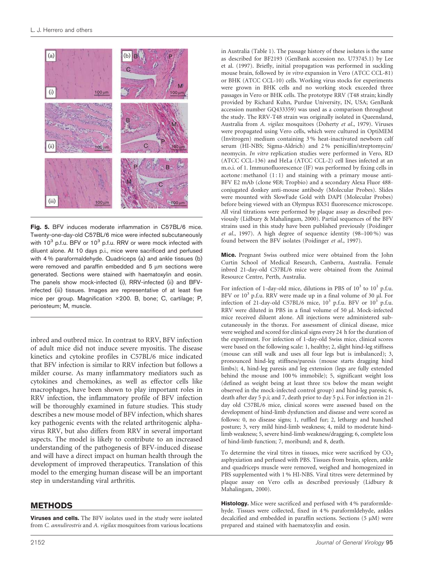

Fig. 5. BFV induces moderate inflammation in C57BL/6 mice. Twenty-one-day-old C57BL/6 mice were infected subcutaneously with 10<sup>3</sup> p.f.u. BFV or 10<sup>3</sup> p.f.u. RRV or were mock infected with diluent alone. At 10 days p.i., mice were sacrificed and perfused with 4 % paraformaldehyde. Quadriceps (a) and ankle tissues (b) were removed and paraffin embedded and  $5 \mu m$  sections were generated. Sections were stained with haematoxylin and eosin. The panels show mock-infected (i), RRV-infected (ii) and BFVinfected (iii) tissues. Images are representative of at least five mice per group. Magnification ×200. B, bone; C, cartilage; P, periosteum; M, muscle.

inbred and outbred mice. In contrast to RRV, BFV infection of adult mice did not induce severe myositis. The disease kinetics and cytokine profiles in C57BL/6 mice indicated that BFV infection is similar to RRV infection but follows a milder course. As many inflammatory mediators such as cytokines and chemokines, as well as effector cells like macrophages, have been shown to play important roles in RRV infection, the inflammatory profile of BFV infection will be thoroughly examined in future studies. This study describes a new mouse model of BFV infection, which shares key pathogenic events with the related arthritogenic alphavirus RRV, but also differs from RRV in several important aspects. The model is likely to contribute to an increased understanding of the pathogenesis of BFV-induced disease and will have a direct impact on human health through the development of improved therapeutics. Translation of this model to the emerging human disease will be an important step in understanding viral arthritis.

# METHODS

Viruses and cells. The BFV isolates used in the study were isolated from *C. annulirostris* and *A. vigilax* mosquitoes from various locations in Australia (Table 1). The passage history of these isolates is the same as described for BF2193 (GenBank accession no. U73745.1) by Lee et al. (1997). Briefly, initial propagation was performed in suckling mouse brain, followed by *in vitro* expansion in Vero (ATCC CCL-81) or BHK (ATCC CCL-10) cells. Working virus stocks for experiments were grown in BHK cells and no working stock exceeded three passages in Vero or BHK cells. The prototype RRV (T48 strain; kindly provided by Richard Kuhn, Purdue University, IN, USA; GenBank accession number GQ433359) was used as a comparison throughout the study. The RRV-T48 strain was originally isolated in Queensland, Australia from *A. vigilax* mosquitoes (Doherty *et al.*, 1979). Viruses were propagated using Vero cells, which were cultured in OptiMEM (Invitrogen) medium containing 3 % heat-inactivated newborn calf serum (HI-NBS; Sigma-Aldrich) and 2 % penicillin/streptomycin/ neomycin. *In vitro* replication studies were performed in Vero, RD (ATCC CCL-136) and HeLa (ATCC CCL-2) cell lines infected at an m.o.i. of 1. Immunofluorescence (IF) was performed by fixing cells in acetone : methanol  $(1:1)$  and staining with a primary mouse anti-BFV E2 mAb (clone 9E8; Tropbio) and a secondary Alexa Fluor 488 conjugated donkey anti-mouse antibody (Molecular Probes). Slides were mounted with SlowFade Gold with DAPI (Molecular Probes) before being viewed with an Olympus BX51 fluorescence microscope. All viral titrations were performed by plaque assay as described previously (Lidbury & Mahalingam, 2000). Partial sequences of the BFV strains used in this study have been published previously (Poidinger *et al.*, 1997). A high degree of sequence identity (98–100 %) was found between the BFV isolates (Poidinger *et al.*, 1997).

Mice. Pregnant Swiss outbred mice were obtained from the John Curtin School of Medical Research, Canberra, Australia. Female inbred 21-day-old C57BL/6 mice were obtained from the Animal Resource Centre, Perth, Australia.

For infection of 1-day-old mice, dilutions in PBS of  $10^3$  to  $10^1$  p.f.u. BFV or 10<sup>3</sup> p.f.u. RRV were made up in a final volume of 30 µl. For infection of 21-day-old C57BL/6 mice,  $10^3$  p.f.u. BFV or  $10^3$  p.f.u. RRV were diluted in PBS in a final volume of 50 µl. Mock-infected mice received diluent alone. All injections were administered subcutaneously in the thorax. For assessment of clinical disease, mice were weighed and scored for clinical signs every 24 h for the duration of the experiment. For infection of 1-day-old Swiss mice, clinical scores were based on the following scale: 1, healthy; 2, slight hind-leg stiffness (mouse can still walk and uses all four legs but is imbalanced); 3, pronounced hind-leg stiffness/paresis (mouse starts dragging hind limbs); 4, hind-leg paresis and leg extension (legs are fully extended behind the mouse and 100 % immobile); 5, significant weight loss (defined as weight being at least three SDs below the mean weight observed in the mock-infected control group) and hind-leg paresis; 6, death after day 5 p.i; and 7, death prior to day 5 p.i. For infection in 21 day old C57BL/6 mice, clinical scores were assessed based on the development of hind-limb dysfunction and disease and were scored as follows: 0, no disease signs; 1, ruffled fur; 2, lethargy and hunched posture; 3, very mild hind-limb weakness; 4, mild to moderate hindlimb weakness; 5, severe hind-limb weakness/dragging; 6, complete loss of hind-limb function; 7, moribund; and 8, death.

To determine the viral titres in tissues, mice were sacrificed by  $CO<sub>2</sub>$ asphyxiation and perfused with PBS. Tissues from brain, spleen, ankle and quadriceps muscle were removed, weighed and homogenized in PBS supplemented with 1 % HI-NBS. Viral titres were determined by plaque assay on Vero cells as described previously (Lidbury & Mahalingam, 2000).

Histology. Mice were sacrificed and perfused with 4% paraformldehyde. Tissues were collected, fixed in 4 % paraformldehyde, ankles decalcified and embedded in paraffin sections. Sections  $(5 \mu M)$  were prepared and stained with haematoxylin and eosin.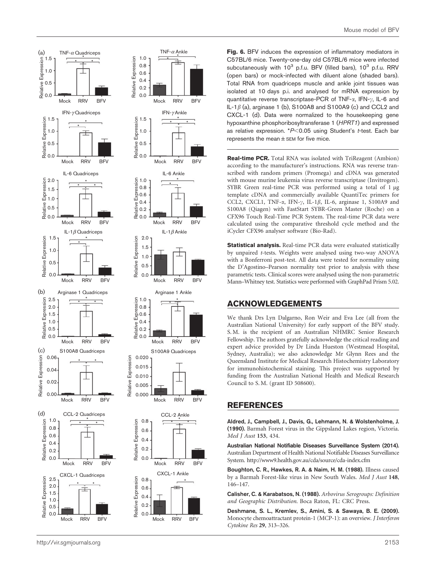



Fig. 6. BFV induces the expression of inflammatory mediators in C57BL/6 mice. Twenty-one-day old C57BL/6 mice were infected subcutaneously with  $10^3$  p.f.u. BFV (filled bars),  $10^3$  p.f.u. RRV (open bars) or mock-infected with diluent alone (shaded bars). Total RNA from quadriceps muscle and ankle joint tissues was isolated at 10 days p.i. and analysed for mRNA expression by quantitative reverse transcriptase-PCR of TNF- $\alpha$ , IFN- $\nu$ , IL-6 and IL-1 $\beta$  (a), arginase 1 (b), S100A8 and S100A9 (c) and CCL2 and CXCL-1 (d). Data were normalized to the housekeeping gene hypoxanthine phosphoribosyltransferase 1 (HPRT1) and expressed as relative expression.  $*P<0.05$  using Student's t-test. Each bar represents the mean  $\pm$  SEM for five mice.

Real-time PCR. Total RNA was isolated with TriReagent (Ambion) according to the manufacturer's instructions. RNA was reverse transcribed with random primers (Promega) and cDNA was generated with mouse murine leukemia virus reverse transcriptase (Invitrogen). SYBR Green real-time PCR was performed using a total of 1 µg template cDNA and commercially available QuantiTec primers for CCL2, CXCL1, TNF- $\alpha$ , IFN- $\gamma$ , IL-1 $\beta$ , IL-6, arginase 1, S100A9 and S100A8 (Qiagen) with FastStart SYBR-Green Master (Roche) on a CFX96 Touch Real-Time PCR System. The real-time PCR data were calculated using the comparative threshold cycle method and the iCycler CFX96 analyser software (Bio-Rad).

Statistical analysis. Real-time PCR data were evaluated statistically by unpaired *t*-tests. Weights were analysed using two-way ANOVA with a Bonferroni post-test. All data were tested for normality using the D'Agostino–Pearson normality test prior to analysis with these parametric tests. Clinical scores were analysed using the non-parametric Mann–Whitney test. Statistics were performed with GraphPad Prism 5.02.

# ACKNOWLEDGEMENTS

We thank Drs Lyn Dalgarno, Ron Weir and Eva Lee (all from the Australian National University) for early support of the BFV study. S. M. is the recipient of an Australian NHMRC Senior Research Fellowship. The authors gratefully acknowledge the critical reading and expert advice provided by Dr Linda Hueston (Westmead Hospital, Sydney, Australia); we also acknowledge Mr Glynn Rees and the Queensland Institute for Medical Research Histochemistry Laboratory for immunohistochemical staining. This project was supported by funding from the Australian National Health and Medical Research Council to S. M. (grant ID 508600).

## REFERENCES

Aldred, J., Campbell, J., Davis, G., Lehmann, N. & Wolstenholme, J. (1990). Barmah Forest virus in the Gippsland Lakes region, Victoria. *Med J Aust* 153, 434.

Australian National Notifiable Diseases Surveillance System (2014). Australian Department of Health National Notifiable Diseases Surveillance System. http://www9.health.gov.au/cda/source/cda-index.cfm

Boughton, C. R., Hawkes, R. A. & Naim, H. M. (1988). Illness caused by a Barmah Forest-like virus in New South Wales. *Med J Aust* 148, 146–147.

Calisher, C. & Karabatsos, N. (1988). *Arbovirus Serogroups: Definition and Geographic Distribution*. Boca Raton, FL: CRC Press.

Deshmane, S. L., Kremlev, S., Amini, S. & Sawaya, B. E. (2009). Monocyte chemoattractant protein-1 (MCP-1): an overview. *J Interferon Cytokine Res* 29, 313–326.